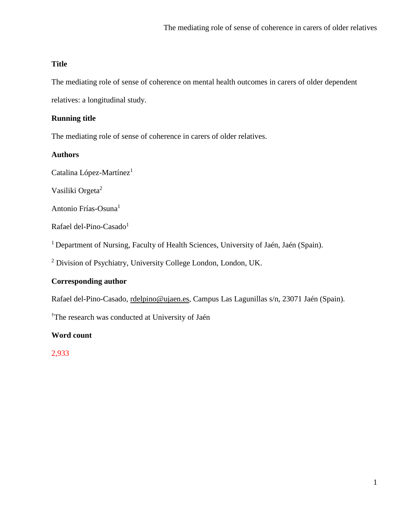## **Title**

The mediating role of sense of coherence on mental health outcomes in carers of older dependent

relatives: a longitudinal study.

## **Running title**

The mediating role of sense of coherence in carers of older relatives.

### **Authors**

Catalina López-Martínez<sup>1</sup>

Vasiliki Orgeta<sup>2</sup>

Antonio Frías-Osuna<sup>1</sup>

Rafael del-Pino-Casado<sup>1</sup>

<sup>1</sup> Department of Nursing, Faculty of Health Sciences, University of Jaén, Jaén (Spain).

<sup>2</sup> Division of Psychiatry, University College London, London, UK.

## **Corresponding author**

Rafael del-Pino-Casado, [rdelpino@ujaen.es,](mailto:rdelpino@ujaen.es) Campus Las Lagunillas s/n, 23071 Jaén (Spain).

†The research was conducted at University of Jaén

**Word count**

2,933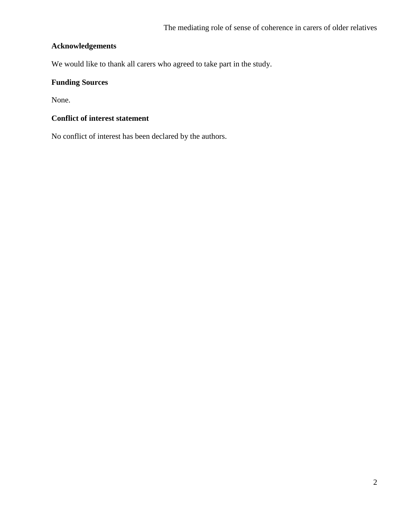# **Acknowledgements**

We would like to thank all carers who agreed to take part in the study.

# **Funding Sources**

None.

# **Conflict of interest statement**

No conflict of interest has been declared by the authors.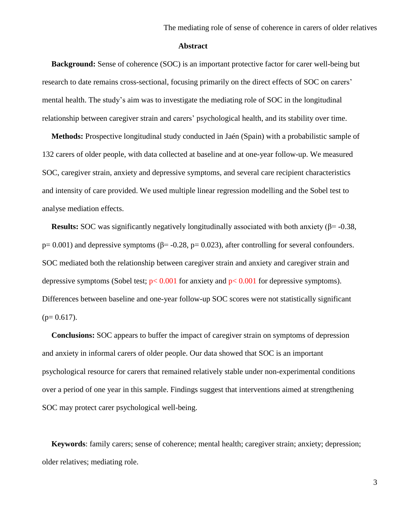#### **Abstract**

**Background:** Sense of coherence (SOC) is an important protective factor for carer well-being but research to date remains cross-sectional, focusing primarily on the direct effects of SOC on carers' mental health. The study's aim was to investigate the mediating role of SOC in the longitudinal relationship between caregiver strain and carers' psychological health, and its stability over time.

**Methods:** Prospective longitudinal study conducted in Jaén (Spain) with a probabilistic sample of 132 carers of older people, with data collected at baseline and at one-year follow-up. We measured SOC, caregiver strain, anxiety and depressive symptoms, and several care recipient characteristics and intensity of care provided. We used multiple linear regression modelling and the Sobel test to analyse mediation effects.

**Results:** SOC was significantly negatively longitudinally associated with both anxiety (β= -0.38, p= 0.001) and depressive symptoms ( $\beta$ = -0.28, p= 0.023), after controlling for several confounders. SOC mediated both the relationship between caregiver strain and anxiety and caregiver strain and depressive symptoms (Sobel test;  $p < 0.001$  for anxiety and  $p < 0.001$  for depressive symptoms). Differences between baseline and one-year follow-up SOC scores were not statistically significant  $(p= 0.617)$ .

**Conclusions:** SOC appears to buffer the impact of caregiver strain on symptoms of depression and anxiety in informal carers of older people. Our data showed that SOC is an important psychological resource for carers that remained relatively stable under non-experimental conditions over a period of one year in this sample. Findings suggest that interventions aimed at strengthening SOC may protect carer psychological well-being.

**Keywords**: family carers; sense of coherence; mental health; caregiver strain; anxiety; depression; older relatives; mediating role.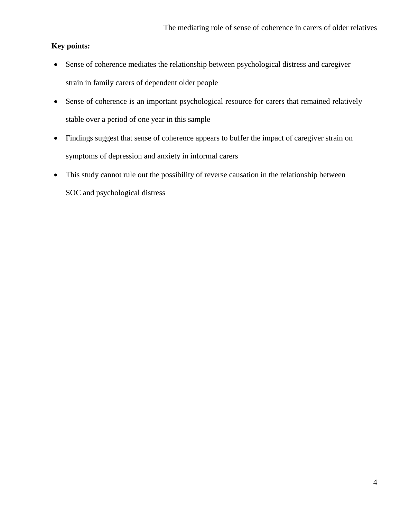# **Key points:**

- Sense of coherence mediates the relationship between psychological distress and caregiver strain in family carers of dependent older people
- Sense of coherence is an important psychological resource for carers that remained relatively stable over a period of one year in this sample
- Findings suggest that sense of coherence appears to buffer the impact of caregiver strain on symptoms of depression and anxiety in informal carers
- This study cannot rule out the possibility of reverse causation in the relationship between SOC and psychological distress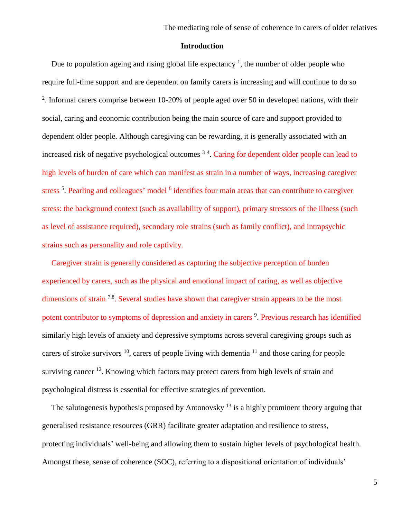### **Introduction**

Due to population ageing and rising global life expectancy<sup>1</sup>, the number of older people who require full-time support and are dependent on family carers is increasing and will continue to do so <sup>2</sup>. Informal carers comprise between 10-20% of people aged over 50 in developed nations, with their social, caring and economic contribution being the main source of care and support provided to dependent older people. Although caregiving can be rewarding, it is generally associated with an increased risk of negative psychological outcomes <sup>34</sup>. Caring for dependent older people can lead to high levels of burden of care which can manifest as strain in a number of ways, increasing caregiver stress<sup>5</sup>. Pearling and colleagues' model <sup>6</sup> identifies four main areas that can contribute to caregiver stress: the background context (such as availability of support), primary stressors of the illness (such as level of assistance required), secondary role strains (such as family conflict), and intrapsychic strains such as personality and role captivity.

Caregiver strain is generally considered as capturing the subjective perception of burden experienced by carers, such as the physical and emotional impact of caring, as well as objective dimensions of strain  $7.8$ . Several studies have shown that caregiver strain appears to be the most potent contributor to symptoms of depression and anxiety in carers <sup>9</sup>. Previous research has identified similarly high levels of anxiety and depressive symptoms across several caregiving groups such as carers of stroke survivors  $^{10}$ , carers of people living with dementia  $^{11}$  and those caring for people surviving cancer<sup>12</sup>. Knowing which factors may protect carers from high levels of strain and psychological distress is essential for effective strategies of prevention.

The salutogenesis hypothesis proposed by Antonovsky  $13$  is a highly prominent theory arguing that generalised resistance resources (GRR) facilitate greater adaptation and resilience to stress, protecting individuals' well-being and allowing them to sustain higher levels of psychological health. Amongst these, sense of coherence (SOC), referring to a dispositional orientation of individuals'

5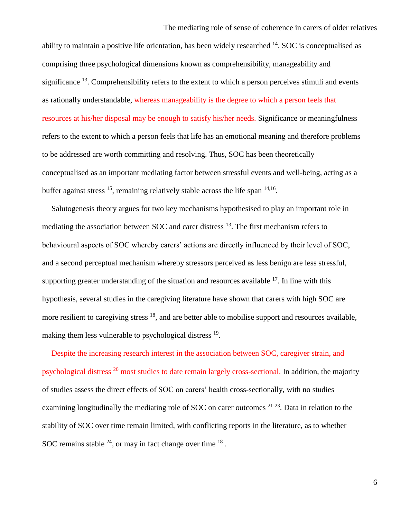ability to maintain a positive life orientation, has been widely researched  $14$ . SOC is conceptualised as comprising three psychological dimensions known as comprehensibility, manageability and significance  $^{13}$ . Comprehensibility refers to the extent to which a person perceives stimuli and events as rationally understandable, whereas manageability is the degree to which a person feels that resources at his/her disposal may be enough to satisfy his/her needs. Significance or meaningfulness refers to the extent to which a person feels that life has an emotional meaning and therefore problems to be addressed are worth committing and resolving. Thus, SOC has been theoretically conceptualised as an important mediating factor between stressful events and well-being, acting as a buffer against stress  $^{15}$ , remaining relatively stable across the life span  $^{14,16}$ .

Salutogenesis theory argues for two key mechanisms hypothesised to play an important role in mediating the association between SOC and carer distress <sup>13</sup>. The first mechanism refers to behavioural aspects of SOC whereby carers' actions are directly influenced by their level of SOC, and a second perceptual mechanism whereby stressors perceived as less benign are less stressful, supporting greater understanding of the situation and resources available  $17$ . In line with this hypothesis, several studies in the caregiving literature have shown that carers with high SOC are more resilient to caregiving stress <sup>18</sup>, and are better able to mobilise support and resources available, making them less vulnerable to psychological distress <sup>19</sup>.

Despite the increasing research interest in the association between SOC, caregiver strain, and psychological distress <sup>20</sup> most studies to date remain largely cross-sectional. In addition, the majority of studies assess the direct effects of SOC on carers' health cross-sectionally, with no studies examining longitudinally the mediating role of SOC on carer outcomes <sup>21-23</sup>. Data in relation to the stability of SOC over time remain limited, with conflicting reports in the literature, as to whether SOC remains stable  $^{24}$ , or may in fact change over time  $^{18}$ .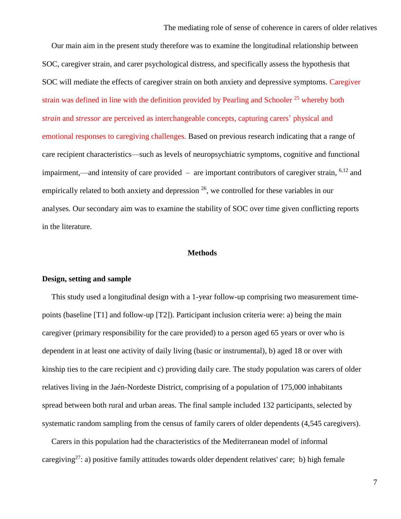Our main aim in the present study therefore was to examine the longitudinal relationship between SOC, caregiver strain, and carer psychological distress, and specifically assess the hypothesis that SOC will mediate the effects of caregiver strain on both anxiety and depressive symptoms. Caregiver strain was defined in line with the definition provided by Pearling and Schooler  $25$  whereby both *strain* and *stressor* are perceived as interchangeable concepts, capturing carers' physical and emotional responses to caregiving challenges. Based on previous research indicating that a range of care recipient characteristics—such as levels of neuropsychiatric symptoms, cognitive and functional impairment,—and intensity of care provided – are important contributors of caregiver strain,  $6,12$  and empirically related to both anxiety and depression  $^{26}$ , we controlled for these variables in our analyses. Our secondary aim was to examine the stability of SOC over time given conflicting reports in the literature.

#### **Methods**

#### **Design, setting and sample**

This study used a longitudinal design with a 1-year follow-up comprising two measurement timepoints (baseline [T1] and follow-up [T2]). Participant inclusion criteria were: a) being the main caregiver (primary responsibility for the care provided) to a person aged 65 years or over who is dependent in at least one activity of daily living (basic or instrumental), b) aged 18 or over with kinship ties to the care recipient and c) providing daily care. The study population was carers of older relatives living in the Jaén-Nordeste District, comprising of a population of 175,000 inhabitants spread between both rural and urban areas. The final sample included 132 participants, selected by systematic random sampling from the census of family carers of older dependents (4,545 caregivers).

Carers in this population had the characteristics of the Mediterranean model of informal caregiving<sup>27</sup>: a) positive family attitudes towards older dependent relatives' care; b) high female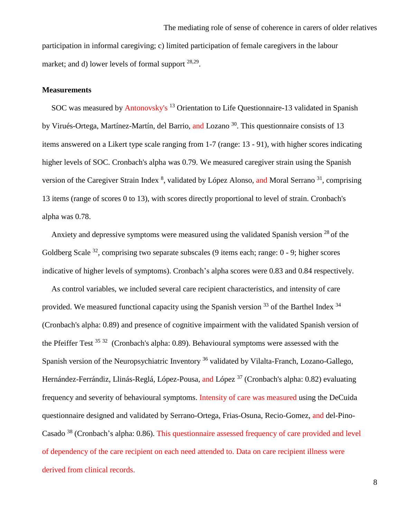#### **Measurements**

SOC was measured by Antonovsky's <sup>13</sup> Orientation to Life Questionnaire-13 validated in Spanish by Virués-Ortega, Martínez-Martín, del Barrio, and Lozano<sup>30</sup>. This questionnaire consists of 13 items answered on a Likert type scale ranging from 1-7 (range: 13 - 91), with higher scores indicating higher levels of SOC. Cronbach's alpha was 0.79. We measured caregiver strain using the Spanish version of the Caregiver Strain Index <sup>8</sup>, validated by López Alonso, and Moral Serrano <sup>31</sup>, comprising 13 items (range of scores 0 to 13), with scores directly proportional to level of strain. Cronbach's alpha was 0.78.

Anxiety and depressive symptoms were measured using the validated Spanish version  $^{28}$  of the Goldberg Scale  $32$ , comprising two separate subscales (9 items each; range: 0 - 9; higher scores indicative of higher levels of symptoms). Cronbach's alpha scores were 0.83 and 0.84 respectively.

As control variables, we included several care recipient characteristics, and intensity of care provided. We measured functional capacity using the Spanish version  $^{33}$  of the Barthel Index  $^{34}$ (Cronbach's alpha: 0.89) and presence of cognitive impairment with the validated Spanish version of the Pfeiffer Test  $35\frac{32}{1}$  (Cronbach's alpha: 0.89). Behavioural symptoms were assessed with the Spanish version of the Neuropsychiatric Inventory <sup>36</sup> validated by Vilalta-Franch, Lozano-Gallego, Hernández-Ferrándiz, Llinás-Reglá, López-Pousa, and López<sup>37</sup> (Cronbach's alpha: 0.82) evaluating frequency and severity of behavioural symptoms. Intensity of care was measured using the DeCuida questionnaire designed and validated by Serrano-Ortega, Frias-Osuna, Recio-Gomez, and del-Pino-Casado <sup>38</sup> (Cronbach's alpha: 0.86). This questionnaire assessed frequency of care provided and level of dependency of the care recipient on each need attended to. Data on care recipient illness were derived from clinical records.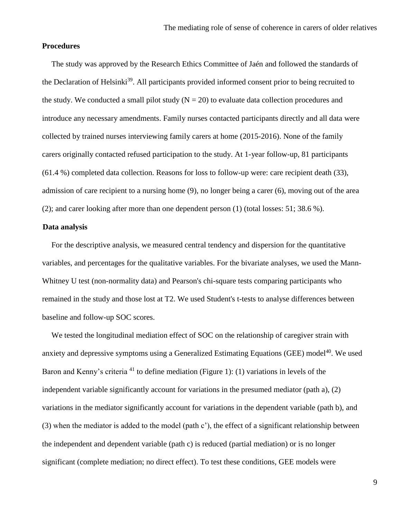### **Procedures**

The study was approved by the Research Ethics Committee of Jaén and followed the standards of the Declaration of Helsinki<sup>39</sup>. All participants provided informed consent prior to being recruited to the study. We conducted a small pilot study  $(N = 20)$  to evaluate data collection procedures and introduce any necessary amendments. Family nurses contacted participants directly and all data were collected by trained nurses interviewing family carers at home (2015-2016). None of the family carers originally contacted refused participation to the study. At 1-year follow-up, 81 participants (61.4 %) completed data collection. Reasons for loss to follow-up were: care recipient death (33), admission of care recipient to a nursing home (9), no longer being a carer (6), moving out of the area (2); and carer looking after more than one dependent person (1) (total losses: 51; 38.6 %).

### **Data analysis**

For the descriptive analysis, we measured central tendency and dispersion for the quantitative variables, and percentages for the qualitative variables. For the bivariate analyses, we used the Mann-Whitney U test (non-normality data) and Pearson's chi-square tests comparing participants who remained in the study and those lost at T2. We used Student's t-tests to analyse differences between baseline and follow-up SOC scores.

We tested the longitudinal mediation effect of SOC on the relationship of caregiver strain with anxiety and depressive symptoms using a Generalized Estimating Equations (GEE) model $^{40}$ . We used Baron and Kenny's criteria  $41$  to define mediation (Figure 1): (1) variations in levels of the independent variable significantly account for variations in the presumed mediator (path a), (2) variations in the mediator significantly account for variations in the dependent variable (path b), and (3) when the mediator is added to the model (path c'), the effect of a significant relationship between the independent and dependent variable (path c) is reduced (partial mediation) or is no longer significant (complete mediation; no direct effect). To test these conditions, GEE models were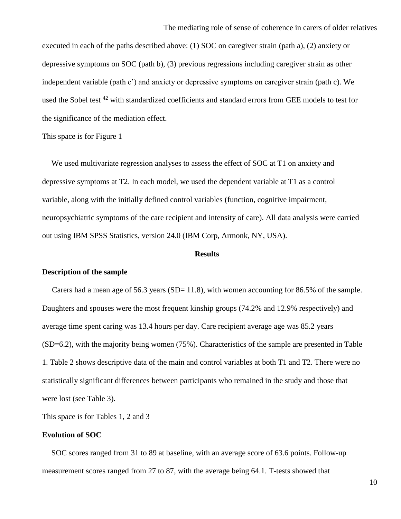executed in each of the paths described above: (1) SOC on caregiver strain (path a), (2) anxiety or depressive symptoms on SOC (path b), (3) previous regressions including caregiver strain as other independent variable (path c') and anxiety or depressive symptoms on caregiver strain (path c). We used the Sobel test <sup>42</sup> with standardized coefficients and standard errors from GEE models to test for the significance of the mediation effect.

This space is for Figure 1

We used multivariate regression analyses to assess the effect of SOC at T1 on anxiety and depressive symptoms at T2. In each model, we used the dependent variable at T1 as a control variable, along with the initially defined control variables (function, cognitive impairment, neuropsychiatric symptoms of the care recipient and intensity of care). All data analysis were carried out using IBM SPSS Statistics, version 24.0 (IBM Corp, Armonk, NY, USA).

#### **Results**

### **Description of the sample**

Carers had a mean age of 56.3 years  $(SD= 11.8)$ , with women accounting for 86.5% of the sample. Daughters and spouses were the most frequent kinship groups (74.2% and 12.9% respectively) and average time spent caring was 13.4 hours per day. Care recipient average age was 85.2 years (SD=6.2), with the majority being women (75%). Characteristics of the sample are presented in Table 1. Table 2 shows descriptive data of the main and control variables at both T1 and T2. There were no statistically significant differences between participants who remained in the study and those that were lost (see Table 3).

This space is for Tables 1, 2 and 3

#### **Evolution of SOC**

SOC scores ranged from 31 to 89 at baseline, with an average score of 63.6 points. Follow-up measurement scores ranged from 27 to 87, with the average being 64.1. T-tests showed that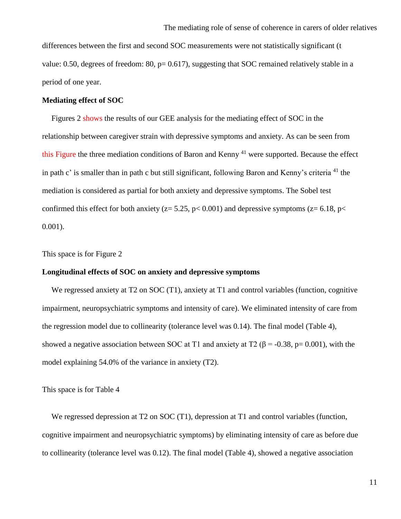differences between the first and second SOC measurements were not statistically significant (t value: 0.50, degrees of freedom: 80,  $p= 0.617$ ), suggesting that SOC remained relatively stable in a period of one year.

#### **Mediating effect of SOC**

Figures 2 shows the results of our GEE analysis for the mediating effect of SOC in the relationship between caregiver strain with depressive symptoms and anxiety. As can be seen from this Figure the three mediation conditions of Baron and Kenny  $^{41}$  were supported. Because the effect in path c' is smaller than in path c but still significant, following Baron and Kenny's criteria <sup>41</sup> the mediation is considered as partial for both anxiety and depressive symptoms. The Sobel test confirmed this effect for both anxiety ( $z = 5.25$ ,  $p < 0.001$ ) and depressive symptoms ( $z = 6.18$ ,  $p <$ 0.001).

This space is for Figure 2

## **Longitudinal effects of SOC on anxiety and depressive symptoms**

We regressed anxiety at T2 on SOC (T1), anxiety at T1 and control variables (function, cognitive impairment, neuropsychiatric symptoms and intensity of care). We eliminated intensity of care from the regression model due to collinearity (tolerance level was 0.14). The final model (Table 4), showed a negative association between SOC at T1 and anxiety at T2 ( $\beta$  = -0.38, p= 0.001), with the model explaining 54.0% of the variance in anxiety (T2).

This space is for Table 4

We regressed depression at T2 on SOC (T1), depression at T1 and control variables (function, cognitive impairment and neuropsychiatric symptoms) by eliminating intensity of care as before due to collinearity (tolerance level was 0.12). The final model (Table 4), showed a negative association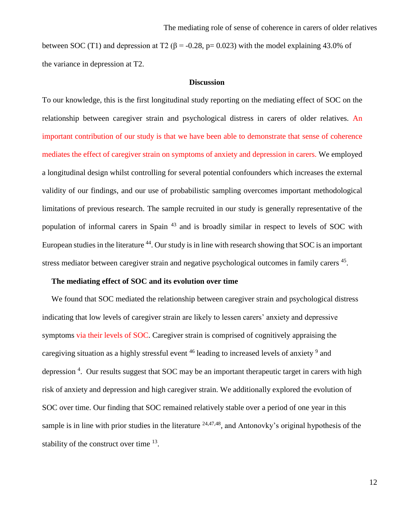between SOC (T1) and depression at T2 ( $\beta$  = -0.28, p= 0.023) with the model explaining 43.0% of the variance in depression at T2.

#### **Discussion**

To our knowledge, this is the first longitudinal study reporting on the mediating effect of SOC on the relationship between caregiver strain and psychological distress in carers of older relatives. An important contribution of our study is that we have been able to demonstrate that sense of coherence mediates the effect of caregiver strain on symptoms of anxiety and depression in carers. We employed a longitudinal design whilst controlling for several potential confounders which increases the external validity of our findings, and our use of probabilistic sampling overcomes important methodological limitations of previous research. The sample recruited in our study is generally representative of the population of informal carers in Spain <sup>43</sup> and is broadly similar in respect to levels of SOC with European studies in the literature <sup>44</sup>. Our study is in line with research showing that SOC is an important stress mediator between caregiver strain and negative psychological outcomes in family carers <sup>45</sup>.

### **The mediating effect of SOC and its evolution over time**

We found that SOC mediated the relationship between caregiver strain and psychological distress indicating that low levels of caregiver strain are likely to lessen carers' anxiety and depressive symptoms via their levels of SOC. Caregiver strain is comprised of cognitively appraising the caregiving situation as a highly stressful event <sup>46</sup> leading to increased levels of anxiety <sup>9</sup> and depression<sup>4</sup>. Our results suggest that SOC may be an important therapeutic target in carers with high risk of anxiety and depression and high caregiver strain. We additionally explored the evolution of SOC over time. Our finding that SOC remained relatively stable over a period of one year in this sample is in line with prior studies in the literature  $24,47,48$ , and Antonovky's original hypothesis of the stability of the construct over time  $13$ .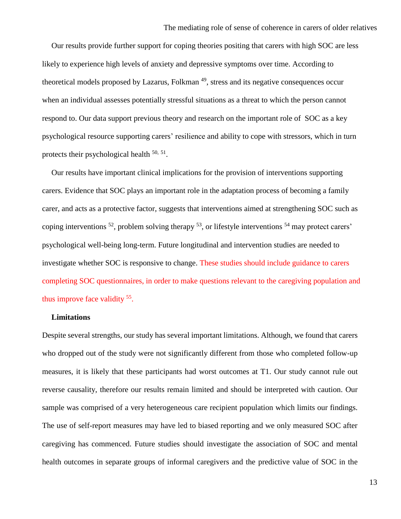Our results provide further support for coping theories positing that carers with high SOC are less likely to experience high levels of anxiety and depressive symptoms over time. According to theoretical models proposed by Lazarus, Folkman<sup>49</sup>, stress and its negative consequences occur when an individual assesses potentially stressful situations as a threat to which the person cannot respond to. Our data support previous theory and research on the important role of SOC as a key psychological resource supporting carers' resilience and ability to cope with stressors, which in turn protects their psychological health  $50, 51$ .

Our results have important clinical implications for the provision of interventions supporting carers. Evidence that SOC plays an important role in the adaptation process of becoming a family carer, and acts as a protective factor, suggests that interventions aimed at strengthening SOC such as coping interventions <sup>52</sup>, problem solving therapy <sup>53</sup>, or lifestyle interventions <sup>54</sup> may protect carers' psychological well-being long-term. Future longitudinal and intervention studies are needed to investigate whether SOC is responsive to change. These studies should include guidance to carers completing SOC questionnaires, in order to make questions relevant to the caregiving population and thus improve face validity <sup>55</sup>.

### **Limitations**

Despite several strengths, our study has several important limitations. Although, we found that carers who dropped out of the study were not significantly different from those who completed follow-up measures, it is likely that these participants had worst outcomes at T1. Our study cannot rule out reverse causality, therefore our results remain limited and should be interpreted with caution. Our sample was comprised of a very heterogeneous care recipient population which limits our findings. The use of self-report measures may have led to biased reporting and we only measured SOC after caregiving has commenced. Future studies should investigate the association of SOC and mental health outcomes in separate groups of informal caregivers and the predictive value of SOC in the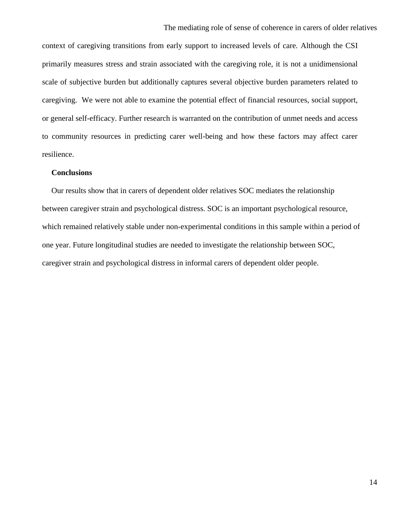context of caregiving transitions from early support to increased levels of care. Although the CSI primarily measures stress and strain associated with the caregiving role, it is not a unidimensional scale of subjective burden but additionally captures several objective burden parameters related to caregiving. We were not able to examine the potential effect of financial resources, social support, or general self-efficacy. Further research is warranted on the contribution of unmet needs and access to community resources in predicting carer well-being and how these factors may affect carer resilience.

### **Conclusions**

Our results show that in carers of dependent older relatives SOC mediates the relationship between caregiver strain and psychological distress. SOC is an important psychological resource, which remained relatively stable under non-experimental conditions in this sample within a period of one year. Future longitudinal studies are needed to investigate the relationship between SOC, caregiver strain and psychological distress in informal carers of dependent older people.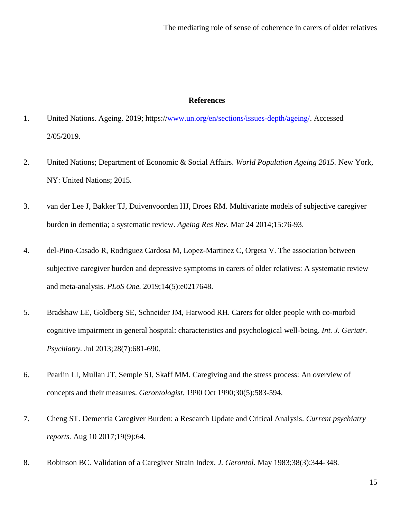#### **References**

- 1. United Nations. Ageing. 2019; https:/[/www.un.org/en/sections/issues-depth/ageing/.](http://www.un.org/en/sections/issues-depth/ageing/) Accessed 2/05/2019.
- 2. United Nations; Department of Economic & Social Affairs. *World Population Ageing 2015.* New York, NY: United Nations; 2015.
- 3. van der Lee J, Bakker TJ, Duivenvoorden HJ, Droes RM. Multivariate models of subjective caregiver burden in dementia; a systematic review. *Ageing Res Rev.* Mar 24 2014;15:76-93.
- 4. del-Pino-Casado R, Rodriguez Cardosa M, Lopez-Martinez C, Orgeta V. The association between subjective caregiver burden and depressive symptoms in carers of older relatives: A systematic review and meta-analysis. *PLoS One.* 2019;14(5):e0217648.
- 5. Bradshaw LE, Goldberg SE, Schneider JM, Harwood RH. Carers for older people with co-morbid cognitive impairment in general hospital: characteristics and psychological well-being. *Int. J. Geriatr. Psychiatry.* Jul 2013;28(7):681-690.
- 6. Pearlin LI, Mullan JT, Semple SJ, Skaff MM. Caregiving and the stress process: An overview of concepts and their measures. *Gerontologist.* 1990 Oct 1990;30(5):583-594.
- 7. Cheng ST. Dementia Caregiver Burden: a Research Update and Critical Analysis. *Current psychiatry reports.* Aug 10 2017;19(9):64.
- 8. Robinson BC. Validation of a Caregiver Strain Index. *J. Gerontol.* May 1983;38(3):344-348.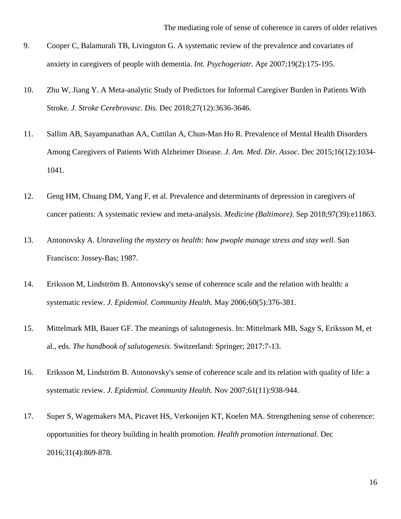- 9. Cooper C, Balamurali TB, Livingston G. A systematic review of the prevalence and covariates of anxiety in caregivers of people with dementia. *Int. Psychogeriatr.* Apr 2007;19(2):175-195.
- 10. Zhu W, Jiang Y. A Meta-analytic Study of Predictors for Informal Caregiver Burden in Patients With Stroke. *J. Stroke Cerebrovasc. Dis.* Dec 2018;27(12):3636-3646.
- 11. Sallim AB, Sayampanathan AA, Cuttilan A, Chun-Man Ho R. Prevalence of Mental Health Disorders Among Caregivers of Patients With Alzheimer Disease. *J. Am. Med. Dir. Assoc.* Dec 2015;16(12):1034- 1041.
- 12. Geng HM, Chuang DM, Yang F, et al. Prevalence and determinants of depression in caregivers of cancer patients: A systematic review and meta-analysis. *Medicine (Baltimore).* Sep 2018;97(39):e11863.
- 13. Antonovsky A. *Unraveling the mystery os health: how pwople manage stress and stay well.* San Francisco: Jossey-Bas; 1987.
- 14. Eriksson M, Lindström B. Antonovsky's sense of coherence scale and the relation with health: a systematic review. *J. Epidemiol. Community Health.* May 2006;60(5):376-381.
- 15. Mittelmark MB, Bauer GF. The meanings of salutogenesis. In: Mittelmark MB, Sagy S, Eriksson M, et al., eds. *The handbook of salutogenesis*. Switzerland: Springer; 2017:7-13.
- 16. Eriksson M, Lindström B. Antonovsky's sense of coherence scale and its relation with quality of life: a systematic review. *J. Epidemiol. Community Health.* Nov 2007;61(11):938-944.
- 17. Super S, Wagemakers MA, Picavet HS, Verkooijen KT, Koelen MA. Strengthening sense of coherence: opportunities for theory building in health promotion. *Health promotion international.* Dec 2016;31(4):869-878.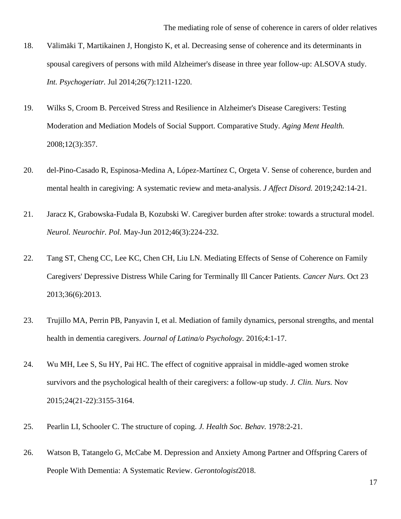- 18. Välimäki T, Martikainen J, Hongisto K, et al. Decreasing sense of coherence and its determinants in spousal caregivers of persons with mild Alzheimer's disease in three year follow-up: ALSOVA study. *Int. Psychogeriatr.* Jul 2014;26(7):1211-1220.
- 19. Wilks S, Croom B. Perceived Stress and Resilience in Alzheimer's Disease Caregivers: Testing Moderation and Mediation Models of Social Support. Comparative Study. *Aging Ment Health.*  2008;12(3):357.
- 20. del-Pino-Casado R, Espinosa-Medina A, López-Martínez C, Orgeta V. Sense of coherence, burden and mental health in caregiving: A systematic review and meta-analysis. *J Affect Disord.* 2019;242:14-21.
- 21. Jaracz K, Grabowska-Fudala B, Kozubski W. Caregiver burden after stroke: towards a structural model. *Neurol. Neurochir. Pol.* May-Jun 2012;46(3):224-232.
- 22. Tang ST, Cheng CC, Lee KC, Chen CH, Liu LN. Mediating Effects of Sense of Coherence on Family Caregivers' Depressive Distress While Caring for Terminally Ill Cancer Patients. *Cancer Nurs.* Oct 23 2013;36(6):2013.
- 23. Trujillo MA, Perrin PB, Panyavin I, et al. Mediation of family dynamics, personal strengths, and mental health in dementia caregivers. *Journal of Latina/o Psychology.* 2016;4:1-17.
- 24. Wu MH, Lee S, Su HY, Pai HC. The effect of cognitive appraisal in middle-aged women stroke survivors and the psychological health of their caregivers: a follow-up study. *J. Clin. Nurs.* Nov 2015;24(21-22):3155-3164.
- 25. Pearlin LI, Schooler C. The structure of coping. *J. Health Soc. Behav.* 1978:2-21.
- 26. Watson B, Tatangelo G, McCabe M. Depression and Anxiety Among Partner and Offspring Carers of People With Dementia: A Systematic Review. *Gerontologist*2018.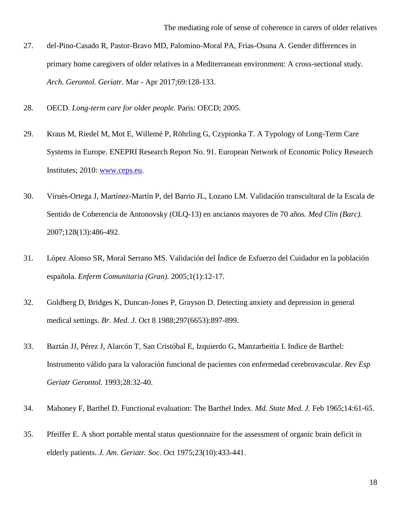- 27. del-Pino-Casado R, Pastor-Bravo MD, Palomino-Moral PA, Frias-Osuna A. Gender differences in primary home caregivers of older relatives in a Mediterranean environment: A cross-sectional study. *Arch. Gerontol. Geriatr.* Mar - Apr 2017;69:128-133.
- 28. OECD. *Long-term care for older people.* Paris: OECD; 2005.
- 29. Kraus M, Riedel M, Mot E, Willemé P, Röhrling G, Czypionka T. A Typology of Long-Term Care Systems in Europe. ENEPRI Research Report No. 91. European Network of Economic Policy Research Institutes; 2010: [www.ceps.eu.](http://www.ceps.eu/)
- 30. Virués-Ortega J, Martínez-Martín P, del Barrio JL, Lozano LM. Validación transcultural de la Escala de Sentido de Coherencia de Antonovsky (OLQ-13) en ancianos mayores de 70 años. *Med Clin (Barc).*  2007;128(13):486-492.
- 31. López Alonso SR, Moral Serrano MS. Validación del Índice de Esfuerzo del Cuidador en la población española. *Enferm Comunitaria (Gran).* 2005;1(1):12-17.
- 32. Goldberg D, Bridges K, Duncan-Jones P, Grayson D. Detecting anxiety and depression in general medical settings. *Br. Med. J.* Oct 8 1988;297(6653):897-899.
- 33. Baztán JJ, Pérez J, Alarcón T, San Cristóbal E, Izquierdo G, Manzarbeitia I. Indice de Barthel: Instrumento válido para la valoración funcional de pacientes con enfermedad cerebrovascular. *Rev Esp Geriatr Gerontol.* 1993;28:32-40.
- 34. Mahoney F, Barthel D. Functional evaluation: The Barthel Index. *Md. State Med. J.* Feb 1965;14:61-65.
- 35. Pfeiffer E. A short portable mental status questionnaire for the assessment of organic brain deficit in elderly patients. *J. Am. Geriatr. Soc.* Oct 1975;23(10):433-441.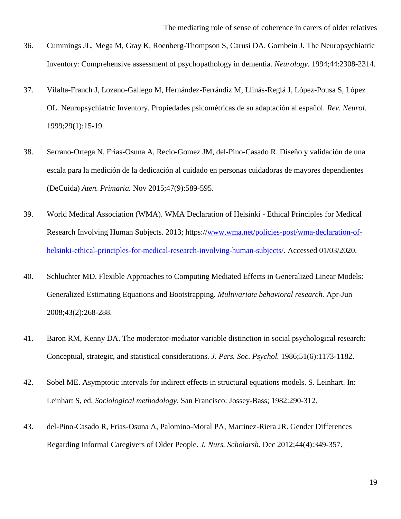- 36. Cummings JL, Mega M, Gray K, Roenberg-Thompson S, Carusi DA, Gornbein J. The Neuropsychiatric Inventory: Comprehensive assessment of psychopathology in dementia. *Neurology.* 1994;44:2308-2314.
- 37. Vilalta-Franch J, Lozano-Gallego M, Hernández-Ferrándiz M, Llinás-Reglá J, López-Pousa S, López OL. Neuropsychiatric Inventory. Propiedades psicométricas de su adaptación al español. *Rev. Neurol.*  1999;29(1):15-19.
- 38. Serrano-Ortega N, Frias-Osuna A, Recio-Gomez JM, del-Pino-Casado R. Diseño y validación de una escala para la medición de la dedicación al cuidado en personas cuidadoras de mayores dependientes (DeCuida) *Aten. Primaria.* Nov 2015;47(9):589-595.
- 39. World Medical Association (WMA). WMA Declaration of Helsinki Ethical Principles for Medical Research Involving Human Subjects. 2013; https:/[/www.wma.net/policies-post/wma-declaration-of](http://www.wma.net/policies-post/wma-declaration-of-helsinki-ethical-principles-for-medical-research-involving-human-subjects/)[helsinki-ethical-principles-for-medical-research-involving-human-subjects/.](http://www.wma.net/policies-post/wma-declaration-of-helsinki-ethical-principles-for-medical-research-involving-human-subjects/) Accessed 01/03/2020.
- 40. Schluchter MD. Flexible Approaches to Computing Mediated Effects in Generalized Linear Models: Generalized Estimating Equations and Bootstrapping. *Multivariate behavioral research.* Apr-Jun 2008;43(2):268-288.
- 41. Baron RM, Kenny DA. The moderator-mediator variable distinction in social psychological research: Conceptual, strategic, and statistical considerations. *J. Pers. Soc. Psychol.* 1986;51(6):1173-1182.
- 42. Sobel ME. Asymptotic intervals for indirect effects in structural equations models. S. Leinhart. In: Leinhart S, ed. *Sociological methodology*. San Francisco: Jossey-Bass; 1982:290-312.
- 43. del-Pino-Casado R, Frias-Osuna A, Palomino-Moral PA, Martinez-Riera JR. Gender Differences Regarding Informal Caregivers of Older People. *J. Nurs. Scholarsh.* Dec 2012;44(4):349-357.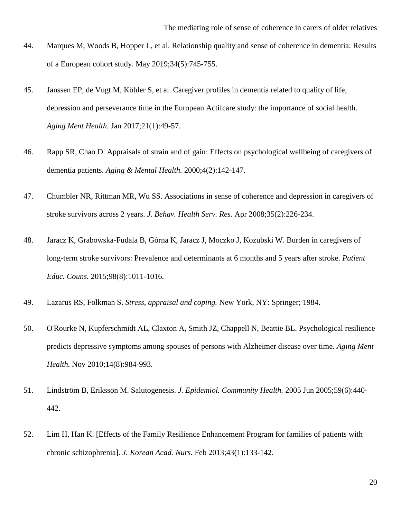- 44. Marques M, Woods B, Hopper L, et al. Relationship quality and sense of coherence in dementia: Results of a European cohort study. May 2019;34(5):745-755.
- 45. Janssen EP, de Vugt M, Köhler S, et al. Caregiver profiles in dementia related to quality of life, depression and perseverance time in the European Actifcare study: the importance of social health. *Aging Ment Health.* Jan 2017;21(1):49-57.
- 46. Rapp SR, Chao D. Appraisals of strain and of gain: Effects on psychological wellbeing of caregivers of dementia patients. *Aging & Mental Health.* 2000;4(2):142-147.
- 47. Chumbler NR, Rittman MR, Wu SS. Associations in sense of coherence and depression in caregivers of stroke survivors across 2 years. *J. Behav. Health Serv. Res.* Apr 2008;35(2):226-234.
- 48. Jaracz K, Grabowska-Fudala B, Górna K, Jaracz J, Moczko J, Kozubski W. Burden in caregivers of long-term stroke survivors: Prevalence and determinants at 6 months and 5 years after stroke. *Patient Educ. Couns.* 2015;98(8):1011-1016.
- 49. Lazarus RS, Folkman S. *Stress, appraisal and coping.* New York, NY: Springer; 1984.
- 50. O'Rourke N, Kupferschmidt AL, Claxton A, Smith JZ, Chappell N, Beattie BL. Psychological resilience predicts depressive symptoms among spouses of persons with Alzheimer disease over time. *Aging Ment Health.* Nov 2010;14(8):984-993.
- 51. Lindström B, Eriksson M. Salutogenesis. *J. Epidemiol. Community Health.* 2005 Jun 2005;59(6):440- 442.
- 52. Lim H, Han K. [Effects of the Family Resilience Enhancement Program for families of patients with chronic schizophrenia]. *J. Korean Acad. Nurs.* Feb 2013;43(1):133-142.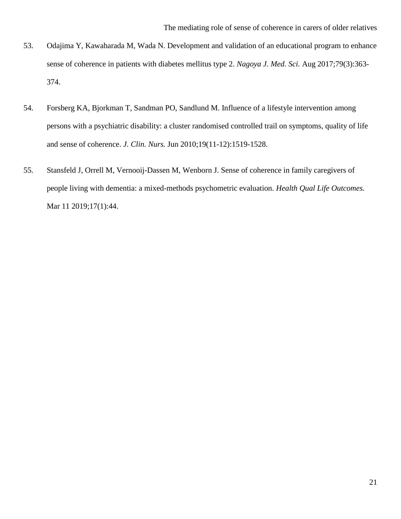- 53. Odajima Y, Kawaharada M, Wada N. Development and validation of an educational program to enhance sense of coherence in patients with diabetes mellitus type 2. *Nagoya J. Med. Sci.* Aug 2017;79(3):363- 374.
- 54. Forsberg KA, Bjorkman T, Sandman PO, Sandlund M. Influence of a lifestyle intervention among persons with a psychiatric disability: a cluster randomised controlled trail on symptoms, quality of life and sense of coherence. *J. Clin. Nurs.* Jun 2010;19(11-12):1519-1528.
- 55. Stansfeld J, Orrell M, Vernooij-Dassen M, Wenborn J. Sense of coherence in family caregivers of people living with dementia: a mixed-methods psychometric evaluation. *Health Qual Life Outcomes.*  Mar 11 2019;17(1):44.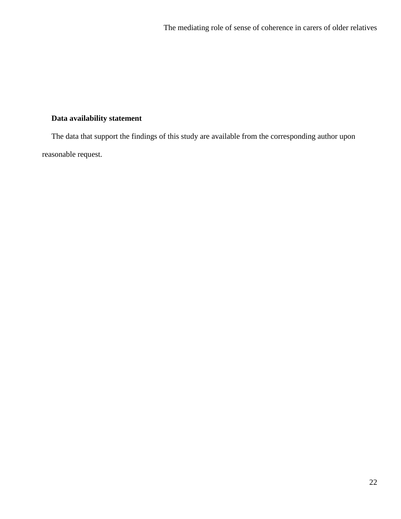# **Data availability statement**

The data that support the findings of this study are available from the corresponding author upon reasonable request.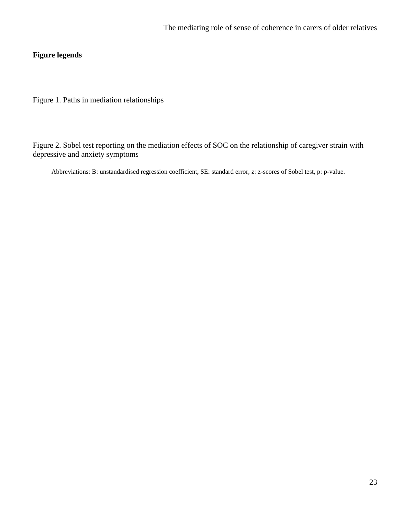# **Figure legends**

Figure 1. Paths in mediation relationships

Figure 2. Sobel test reporting on the mediation effects of SOC on the relationship of caregiver strain with depressive and anxiety symptoms

Abbreviations: B: unstandardised regression coefficient, SE: standard error, z: z-scores of Sobel test, p: p-value.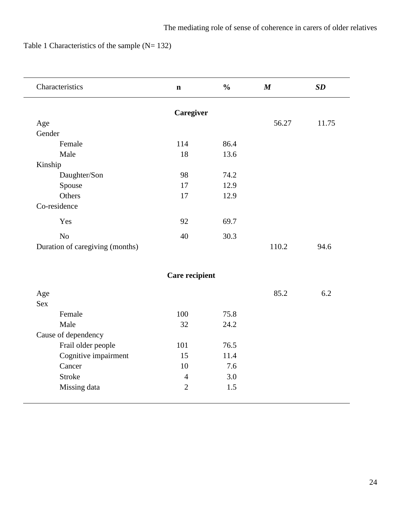Table 1 Characteristics of the sample (N= 132)

| Characteristics                 | $\mathbf n$    | $\frac{0}{0}$ | $\boldsymbol{M}$ | SD    |
|---------------------------------|----------------|---------------|------------------|-------|
|                                 | Caregiver      |               |                  |       |
| Age                             |                |               | 56.27            | 11.75 |
| Gender                          |                |               |                  |       |
| Female                          | 114            | 86.4          |                  |       |
| Male                            | 18             | 13.6          |                  |       |
| Kinship                         |                |               |                  |       |
| Daughter/Son                    | 98             | 74.2          |                  |       |
| Spouse                          | 17             | 12.9          |                  |       |
| Others                          | 17             | 12.9          |                  |       |
| Co-residence                    |                |               |                  |       |
| Yes                             | 92             | 69.7          |                  |       |
| N <sub>o</sub>                  | 40             | 30.3          |                  |       |
| Duration of caregiving (months) |                |               | 110.2            | 94.6  |
|                                 | Care recipient |               |                  |       |
| Age                             |                |               | 85.2             | 6.2   |
| <b>Sex</b>                      |                |               |                  |       |
| Female                          | 100            | 75.8          |                  |       |
| Male                            | 32             | 24.2          |                  |       |
| Cause of dependency             |                |               |                  |       |
| Frail older people              | 101            | 76.5          |                  |       |
| Cognitive impairment            | 15             | 11.4          |                  |       |
| Cancer                          | 10             | 7.6           |                  |       |
| <b>Stroke</b>                   | $\overline{4}$ | 3.0           |                  |       |
| Missing data                    | $\overline{2}$ | 1.5           |                  |       |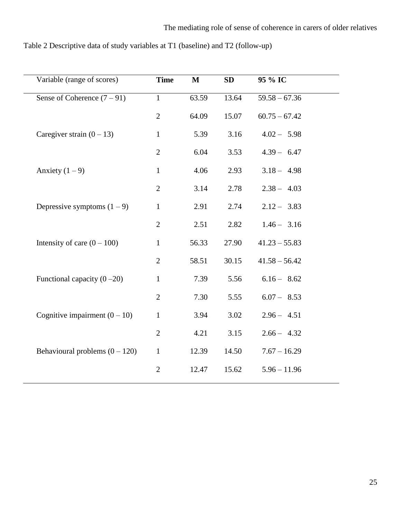| Table 2 Descriptive data of study variables at T1 (baseline) and T2 (follow-up) |  |  |
|---------------------------------------------------------------------------------|--|--|
|                                                                                 |  |  |

| Variable (range of scores)       | <b>Time</b>    | $\mathbf M$ | SD    | 95 % IC         |  |
|----------------------------------|----------------|-------------|-------|-----------------|--|
| Sense of Coherence $(7-91)$      | $\mathbf{1}$   | 63.59       | 13.64 | $59.58 - 67.36$ |  |
|                                  | $\mathbf{2}$   | 64.09       | 15.07 | $60.75 - 67.42$ |  |
| Caregiver strain $(0 - 13)$      | $\mathbf{1}$   | 5.39        | 3.16  | $4.02 - 5.98$   |  |
|                                  | $\overline{2}$ | 6.04        | 3.53  | $4.39 - 6.47$   |  |
| Anxiety $(1 – 9)$                | $\mathbf{1}$   | 4.06        | 2.93  | $3.18 - 4.98$   |  |
|                                  | $\mathbf{2}$   | 3.14        | 2.78  | $2.38 - 4.03$   |  |
| Depressive symptoms $(1 – 9)$    | $\mathbf{1}$   | 2.91        | 2.74  | $2.12 - 3.83$   |  |
|                                  | $\overline{2}$ | 2.51        | 2.82  | $1.46 - 3.16$   |  |
| Intensity of care $(0 - 100)$    | $\mathbf{1}$   | 56.33       | 27.90 | $41.23 - 55.83$ |  |
|                                  | $\sqrt{2}$     | 58.51       | 30.15 | $41.58 - 56.42$ |  |
| Functional capacity $(0-20)$     | $\mathbf{1}$   | 7.39        | 5.56  | $6.16 - 8.62$   |  |
|                                  | $\overline{2}$ | 7.30        | 5.55  | $6.07 - 8.53$   |  |
| Cognitive impairment $(0 - 10)$  | $\mathbf{1}$   | 3.94        | 3.02  | $2.96 - 4.51$   |  |
|                                  | $\overline{2}$ | 4.21        | 3.15  | $2.66 - 4.32$   |  |
| Behavioural problems $(0 - 120)$ | $\mathbf{1}$   | 12.39       | 14.50 | $7.67 - 16.29$  |  |
|                                  | $\mathbf{2}$   | 12.47       | 15.62 | $5.96 - 11.96$  |  |
|                                  |                |             |       |                 |  |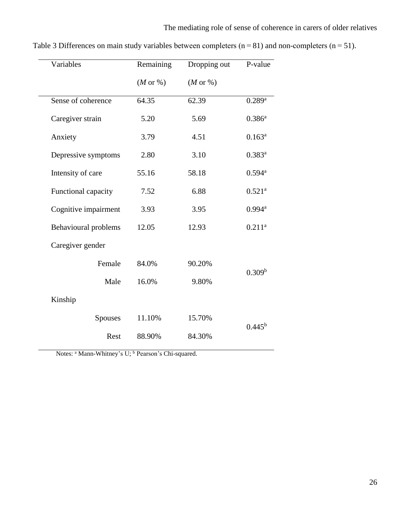| Variables                   | Remaining            | Dropping out         | P-value            |  |
|-----------------------------|----------------------|----------------------|--------------------|--|
|                             | $(M \text{ or } \%)$ | $(M \text{ or } \%)$ |                    |  |
| Sense of coherence          | 64.35                | 62.39                | $0.289^{a}$        |  |
| Caregiver strain            | 5.20                 | 5.69                 | $0.386^{a}$        |  |
| Anxiety                     | 3.79                 | 4.51                 | $0.163^{a}$        |  |
| Depressive symptoms         | 2.80                 | 3.10                 | $0.383^{a}$        |  |
| Intensity of care           | 55.16                | 58.18                | $0.594^{\text{a}}$ |  |
| Functional capacity         | 7.52                 | 6.88                 | $0.521^{\rm a}$    |  |
| Cognitive impairment        | 3.93<br>3.95         | $0.994^{\text{a}}$   |                    |  |
| <b>Behavioural problems</b> | 12.05                | 12.93                | $0.211^{a}$        |  |
| Caregiver gender            |                      |                      |                    |  |
| Female                      | 84.0%                | 90.20%               |                    |  |
| Male                        | 16.0%                | 9.80%                | 0.309 <sup>b</sup> |  |
| Kinship                     |                      |                      |                    |  |
| <b>Spouses</b>              | 11.10%               | 15.70%               | $0.445^{\rm b}$    |  |
| Rest                        | 88.90%               | 84.30%               |                    |  |
|                             |                      |                      |                    |  |

Table 3 Differences on main study variables between completers ( $n = 81$ ) and non-completers ( $n = 51$ ).

Notes: <sup>a</sup> Mann-Whitney's U; <sup>b</sup> Pearson's Chi-squared.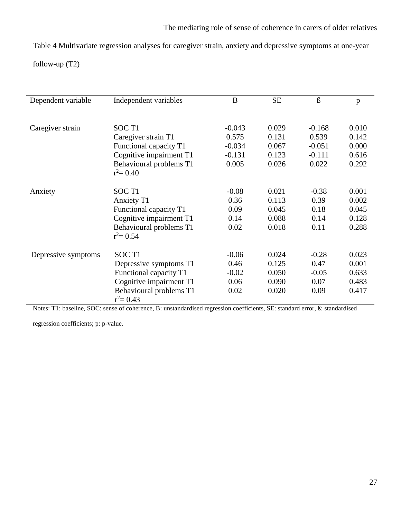Table 4 Multivariate regression analyses for caregiver strain, anxiety and depressive symptoms at one-year follow-up (T2)

| Dependent variable  | Independent variables                   | B        | <b>SE</b> | ß        | p     |
|---------------------|-----------------------------------------|----------|-----------|----------|-------|
|                     |                                         |          |           |          |       |
| Caregiver strain    | SOC <sub>T1</sub>                       | $-0.043$ | 0.029     | $-0.168$ | 0.010 |
|                     | Caregiver strain T1                     | 0.575    | 0.131     | 0.539    | 0.142 |
|                     | Functional capacity T1                  | $-0.034$ | 0.067     | $-0.051$ | 0.000 |
|                     | Cognitive impairment T1                 | $-0.131$ | 0.123     | $-0.111$ | 0.616 |
|                     | Behavioural problems T1                 | 0.005    | 0.026     | 0.022    | 0.292 |
|                     | $r^2 = 0.40$                            |          |           |          |       |
| Anxiety             | SOC <sub>T1</sub>                       | $-0.08$  | 0.021     | $-0.38$  | 0.001 |
|                     | Anxiety T1                              | 0.36     | 0.113     | 0.39     | 0.002 |
|                     | Functional capacity T1                  | 0.09     | 0.045     | 0.18     | 0.045 |
|                     | Cognitive impairment T1                 | 0.14     | 0.088     | 0.14     | 0.128 |
|                     | Behavioural problems T1                 | 0.02     | 0.018     | 0.11     | 0.288 |
|                     | $r^2 = 0.54$                            |          |           |          |       |
| Depressive symptoms | SOC <sub>T1</sub>                       | $-0.06$  | 0.024     | $-0.28$  | 0.023 |
|                     | Depressive symptoms T1                  | 0.46     | 0.125     | 0.47     | 0.001 |
|                     | Functional capacity T1                  | $-0.02$  | 0.050     | $-0.05$  | 0.633 |
|                     |                                         | 0.06     | 0.090     | 0.07     | 0.483 |
|                     | Cognitive impairment T1                 |          |           |          |       |
|                     | Behavioural problems T1<br>$r^2 = 0.43$ | 0.02     | 0.020     | 0.09     | 0.417 |

Notes: T1: baseline, SOC: sense of coherence, B: unstandardised regression coefficients, SE: standard error, ß: standardised

regression coefficients; p: p-value.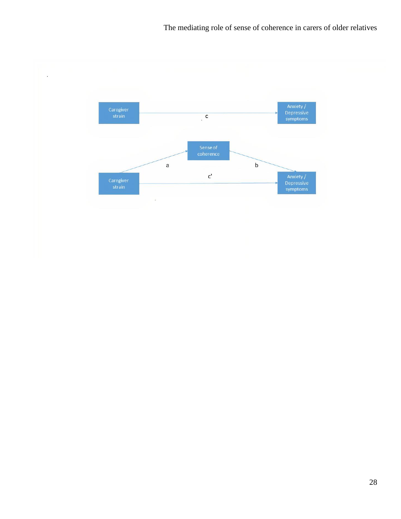